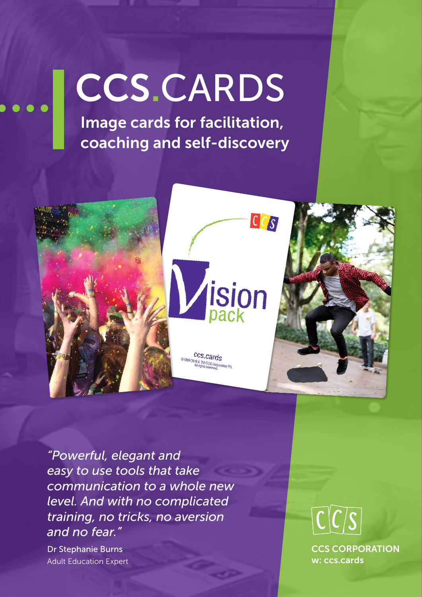# CCS.CARDS

Image cards for facilitation, coaching and self-discovery



*"Powerful, elegant and easy to use tools that take communication to a whole new level. And with no complicated training, no tricks, no aversion and no fear."*

Dr Stephanie Burns Adult Education Expert

## $\lceil \mathcal{C} \rceil \mathcal{C} \rceil$ S

CCS CORPORATION w: ccs.cards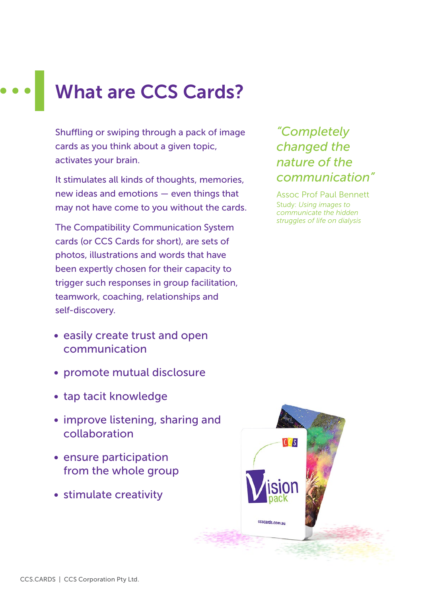### What are CCS Cards?

Shuffling or swiping through a pack of image cards as you think about a given topic, activates your brain.

It stimulates all kinds of thoughts, memories, new ideas and emotions — even things that may not have come to you without the cards.

The Compatibility Communication System cards (or CCS Cards for short), are sets of photos, illustrations and words that have been expertly chosen for their capacity to trigger such responses in group facilitation, teamwork, coaching, relationships and self-discovery.

- easily create trust and open communication
- promote mutual disclosure
- tap tacit knowledge
- improve listening, sharing and collaboration
- ensure participation from the whole group
- stimulate creativity

#### *"Completely changed the nature of the communication"*

Assoc Prof Paul Bennett Study: *Using images to communicate the hidden struggles of life on dialysis*

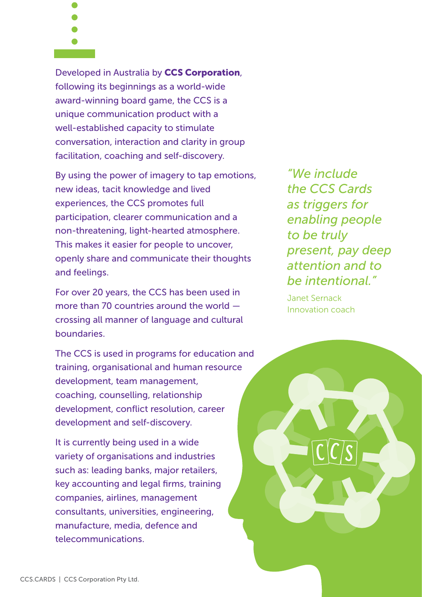Developed in Australia by CCS Corporation, following its beginnings as a world-wide award‑winning board game, the CCS is a unique communication product with a well-established capacity to stimulate conversation, interaction and clarity in group facilitation, coaching and self-discovery.

By using the power of imagery to tap emotions, new ideas, tacit knowledge and lived experiences, the CCS promotes full participation, clearer communication and a non-threatening, light-hearted atmosphere. This makes it easier for people to uncover, openly share and communicate their thoughts and feelings.

For over 20 years, the CCS has been used in more than 70 countries around the world crossing all manner of language and cultural boundaries.

The CCS is used in programs for education and training, organisational and human resource development, team management, coaching, counselling, relationship development, conflict resolution, career development and self-discovery.

It is currently being used in a wide variety of organisations and industries such as: leading banks, major retailers, key accounting and legal firms, training companies, airlines, management consultants, universities, engineering, manufacture, media, defence and telecommunications.

*"We include the CCS Cards as triggers for enabling people to be truly present, pay deep attention and to be intentional."*

Janet Sernack Innovation coach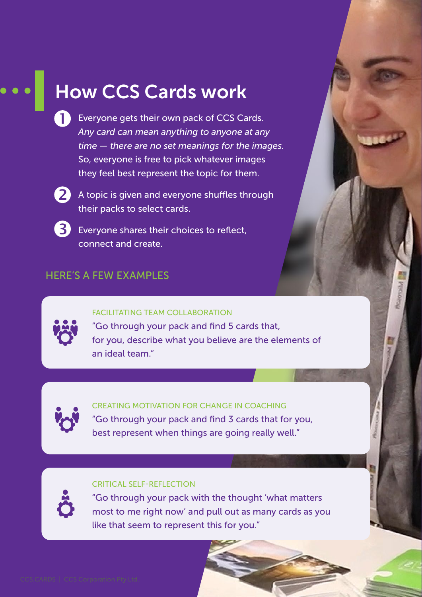### How CCS Cards work

Everyone gets their own pack of CCS Cards. *Any card can mean anything to anyone at any time — there are no set meanings for the images.*  So, everyone is free to pick whatever images they feel best represent the topic for them.



**2** A topic is given and everyone shuffles through their packs to select cards.



Everyone shares their choices to reflect, connect and create.

#### HERE'S A FEW EXAMPLES

#### FACILITATING TEAM COLLABORATION



"Go through your pack and find 5 cards that, for you, describe what you believe are the elements of an ideal team."



CREATING MOTIVATION FOR CHANGE IN COACHING "Go through your pack and find 3 cards that for you, best represent when things are going really well."

#### CRITICAL SELF-REFLECTION

"Go through your pack with the thought 'what matters most to me right now' and pull out as many cards as you like that seem to represent this for you."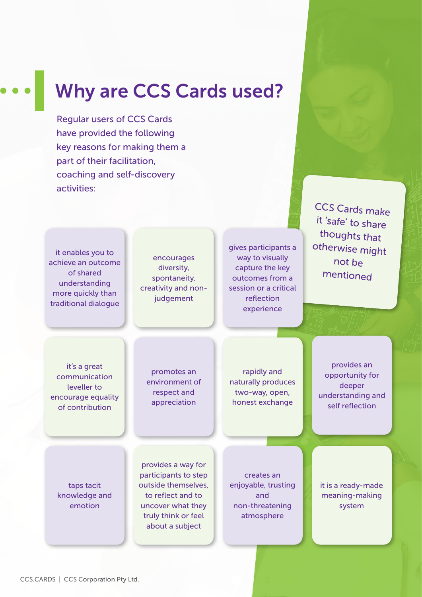### Why are CCS Cards used?

Regular users of CCS Cards have provided the following key reasons for making them a part of their facilitation, coaching and self‑discovery activities:

it enables you to achieve an outcome of shared understanding more quickly than traditional dialogue

encourages diversity, spontaneity, creativity and nonjudgement

gives participants a way to visually capture the key outcomes from a session or a critical reflection experience

CCS Cards make it 'safe' to share thoughts that otherwise might not be mentioned

it's a great communication leveller to encourage equality of contribution

promotes an environment of respect and appreciation

rapidly and naturally produces two-way, open, honest exchange

provides an opportunity for deeper understanding and self reflection

taps tacit knowledge and emotion

provides a way for participants to step outside themselves, to reflect and to uncover what they truly think or feel about a subject

creates an enjoyable, trusting and non‑threatening atmosphere

it is a ready-made meaning-making system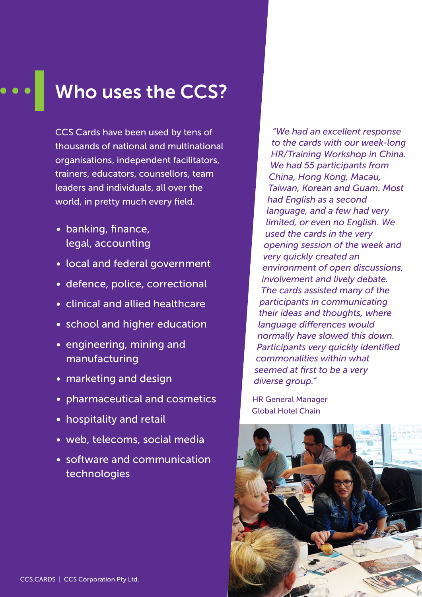### Who uses the CCS?

CCS Cards have been used by tens of thousands of national and multinational organisations, independent facilitators, trainers, educators, counsellors, team leaders and individuals, all over the world, in pretty much every field.

- banking, finance, legal, accounting
- local and federal government
- defence, police, correctional
- clinical and allied healthcare
- school and higher education
- engineering, mining and manufacturing
- marketing and design
- pharmaceutical and cosmetics
- hospitality and retail
- web, telecoms, social media
- software and communication technologies

*"We had an excellent response to the cards with our week-long HR/Training Workshop in China. We had 55 participants from China, Hong Kong, Macau, Taiwan, Korean and Guam. Most had English as a second language, and a few had very limited, or even no English. We used the cards in the very opening session of the week and very quickly created an environment of open discussions, involvement and lively debate. The cards assisted many of the participants in communicating their ideas and thoughts, where language differences would normally have slowed this down. Participants very quickly identified commonalities within what seemed at first to be a very diverse group."*

HR General Manager Global Hotel Chain

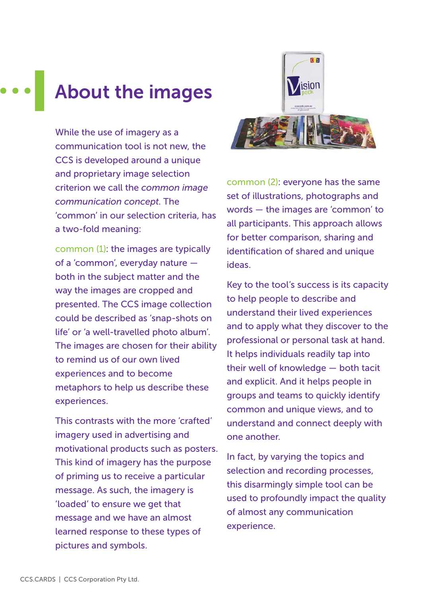### About the images

While the use of imagery as a communication tool is not new, the CCS is developed around a unique and proprietary image selection criterion we call the *common image communication concept*. The 'common' in our selection criteria, has a two-fold meaning:

common (1): the images are typically of a 'common', everyday nature both in the subject matter and the way the images are cropped and presented. The CCS image collection could be described as 'snap-shots on life' or 'a well-travelled photo album'. The images are chosen for their ability to remind us of our own lived experiences and to become metaphors to help us describe these experiences.

This contrasts with the more 'crafted' imagery used in advertising and motivational products such as posters. This kind of imagery has the purpose of priming us to receive a particular message. As such, the imagery is 'loaded' to ensure we get that message and we have an almost learned response to these types of pictures and symbols.



common (2): everyone has the same set of illustrations, photographs and words — the images are 'common' to all participants. This approach allows for better comparison, sharing and identification of shared and unique ideas.

Key to the tool's success is its capacity to help people to describe and understand their lived experiences and to apply what they discover to the professional or personal task at hand. It helps individuals readily tap into their well of knowledge — both tacit and explicit. And it helps people in groups and teams to quickly identify common and unique views, and to understand and connect deeply with one another.

In fact, by varying the topics and selection and recording processes, this disarmingly simple tool can be used to profoundly impact the quality of almost any communication experience.